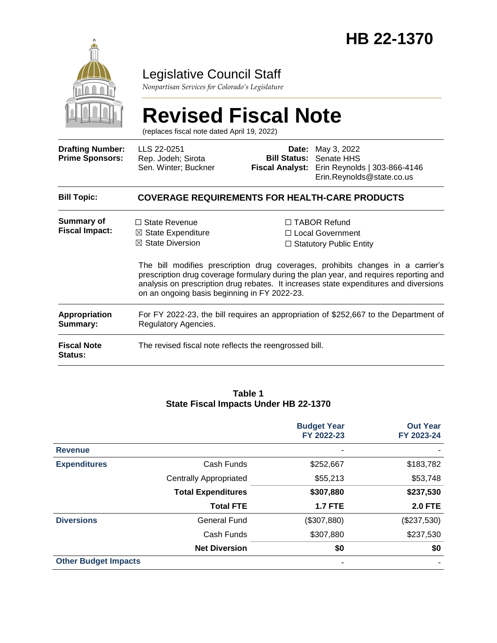

## Legislative Council Staff

*Nonpartisan Services for Colorado's Legislature*

# **Revised Fiscal Note**

(replaces fiscal note dated April 19, 2022)

| <b>Drafting Number:</b><br><b>Prime Sponsors:</b> | LLS 22-0251<br>Rep. Jodeh; Sirota<br>Sen. Winter; Buckner                                                                            | Date: | May 3, 2022<br><b>Bill Status: Senate HHS</b><br>Fiscal Analyst: Erin Reynolds   303-866-4146<br>Erin.Reynolds@state.co.us                                                                                                                                                                                                                       |  |  |
|---------------------------------------------------|--------------------------------------------------------------------------------------------------------------------------------------|-------|--------------------------------------------------------------------------------------------------------------------------------------------------------------------------------------------------------------------------------------------------------------------------------------------------------------------------------------------------|--|--|
| <b>Bill Topic:</b>                                | <b>COVERAGE REQUIREMENTS FOR HEALTH-CARE PRODUCTS</b>                                                                                |       |                                                                                                                                                                                                                                                                                                                                                  |  |  |
| Summary of<br><b>Fiscal Impact:</b>               | $\Box$ State Revenue<br>$\boxtimes$ State Expenditure<br>$\boxtimes$ State Diversion<br>on an ongoing basis beginning in FY 2022-23. |       | $\Box$ TABOR Refund<br>□ Local Government<br>$\Box$ Statutory Public Entity<br>The bill modifies prescription drug coverages, prohibits changes in a carrier's<br>prescription drug coverage formulary during the plan year, and requires reporting and<br>analysis on prescription drug rebates. It increases state expenditures and diversions |  |  |
| <b>Appropriation</b><br>Summary:                  | For FY 2022-23, the bill requires an appropriation of \$252,667 to the Department of<br>Regulatory Agencies.                         |       |                                                                                                                                                                                                                                                                                                                                                  |  |  |
| <b>Fiscal Note</b><br><b>Status:</b>              | The revised fiscal note reflects the reengrossed bill.                                                                               |       |                                                                                                                                                                                                                                                                                                                                                  |  |  |

#### **Table 1 State Fiscal Impacts Under HB 22-1370**

|                             |                               | <b>Budget Year</b><br>FY 2022-23 | <b>Out Year</b><br>FY 2023-24 |
|-----------------------------|-------------------------------|----------------------------------|-------------------------------|
| <b>Revenue</b>              |                               |                                  |                               |
| <b>Expenditures</b>         | Cash Funds                    | \$252,667                        | \$183,782                     |
|                             | <b>Centrally Appropriated</b> | \$55,213                         | \$53,748                      |
|                             | <b>Total Expenditures</b>     | \$307,880                        | \$237,530                     |
|                             | <b>Total FTE</b>              | <b>1.7 FTE</b>                   | <b>2.0 FTE</b>                |
| <b>Diversions</b>           | General Fund                  | (\$307,880)                      | (\$237,530)                   |
|                             | Cash Funds                    | \$307,880                        | \$237,530                     |
|                             | <b>Net Diversion</b>          | \$0                              | \$0                           |
| <b>Other Budget Impacts</b> |                               |                                  |                               |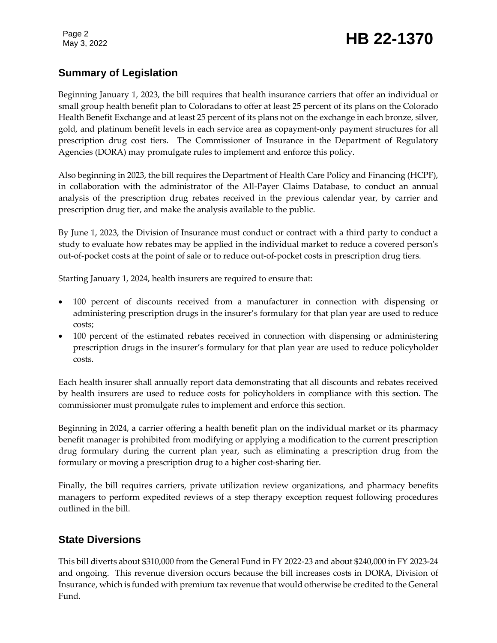Page 2

# Page 2<br>May 3, 2022 **HB 22-1370**

#### **Summary of Legislation**

Beginning January 1, 2023, the bill requires that health insurance carriers that offer an individual or small group health benefit plan to Coloradans to offer at least 25 percent of its plans on the Colorado Health Benefit Exchange and at least 25 percent of its plans not on the exchange in each bronze, silver, gold, and platinum benefit levels in each service area as copayment-only payment structures for all prescription drug cost tiers. The Commissioner of Insurance in the Department of Regulatory Agencies (DORA) may promulgate rules to implement and enforce this policy.

Also beginning in 2023, the bill requires the Department of Health Care Policy and Financing (HCPF), in collaboration with the administrator of the All-Payer Claims Database, to conduct an annual analysis of the prescription drug rebates received in the previous calendar year, by carrier and prescription drug tier, and make the analysis available to the public.

By June 1, 2023, the Division of Insurance must conduct or contract with a third party to conduct a study to evaluate how rebates may be applied in the individual market to reduce a covered person's out-of-pocket costs at the point of sale or to reduce out-of-pocket costs in prescription drug tiers.

Starting January 1, 2024, health insurers are required to ensure that:

- 100 percent of discounts received from a manufacturer in connection with dispensing or administering prescription drugs in the insurer's formulary for that plan year are used to reduce costs;
- 100 percent of the estimated rebates received in connection with dispensing or administering prescription drugs in the insurer's formulary for that plan year are used to reduce policyholder costs.

Each health insurer shall annually report data demonstrating that all discounts and rebates received by health insurers are used to reduce costs for policyholders in compliance with this section. The commissioner must promulgate rules to implement and enforce this section.

Beginning in 2024, a carrier offering a health benefit plan on the individual market or its pharmacy benefit manager is prohibited from modifying or applying a modification to the current prescription drug formulary during the current plan year, such as eliminating a prescription drug from the formulary or moving a prescription drug to a higher cost-sharing tier.

Finally, the bill requires carriers, private utilization review organizations, and pharmacy benefits managers to perform expedited reviews of a step therapy exception request following procedures outlined in the bill.

#### **State Diversions**

This bill diverts about \$310,000 from the General Fund in FY 2022-23 and about \$240,000 in FY 2023-24 and ongoing. This revenue diversion occurs because the bill increases costs in DORA, Division of Insurance, which is funded with premium tax revenue that would otherwise be credited to the General Fund.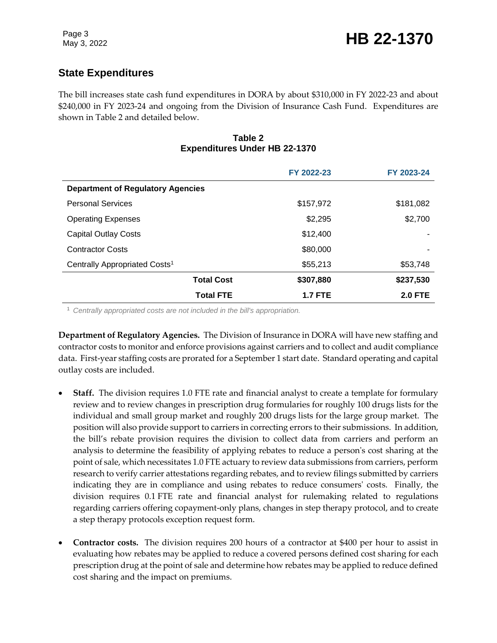## **State Expenditures**

The bill increases state cash fund expenditures in DORA by about \$310,000 in FY 2022-23 and about \$240,000 in FY 2023-24 and ongoing from the Division of Insurance Cash Fund. Expenditures are shown in Table 2 and detailed below.

#### **Table 2 Expenditures Under HB 22-1370**

|                                           | FY 2022-23     | FY 2023-24     |  |  |
|-------------------------------------------|----------------|----------------|--|--|
| <b>Department of Regulatory Agencies</b>  |                |                |  |  |
| <b>Personal Services</b>                  | \$157,972      | \$181,082      |  |  |
| <b>Operating Expenses</b>                 | \$2,295        | \$2,700        |  |  |
| <b>Capital Outlay Costs</b>               | \$12,400       |                |  |  |
| <b>Contractor Costs</b>                   | \$80,000       | ۰              |  |  |
| Centrally Appropriated Costs <sup>1</sup> | \$55,213       | \$53,748       |  |  |
| <b>Total Cost</b>                         | \$307,880      | \$237,530      |  |  |
| <b>Total FTE</b>                          | <b>1.7 FTE</b> | <b>2.0 FTE</b> |  |  |

<sup>1</sup> *Centrally appropriated costs are not included in the bill's appropriation.*

**Department of Regulatory Agencies.** The Division of Insurance in DORA will have new staffing and contractor costs to monitor and enforce provisions against carriers and to collect and audit compliance data. First-year staffing costs are prorated for a September 1 start date. Standard operating and capital outlay costs are included.

- **Staff.** The division requires 1.0 FTE rate and financial analyst to create a template for formulary review and to review changes in prescription drug formularies for roughly 100 drugs lists for the individual and small group market and roughly 200 drugs lists for the large group market. The position will also provide support to carriers in correcting errors to their submissions. In addition, the bill's rebate provision requires the division to collect data from carriers and perform an analysis to determine the feasibility of applying rebates to reduce a person's cost sharing at the point of sale, which necessitates 1.0 FTE actuary to review data submissions from carriers, perform research to verify carrier attestations regarding rebates, and to review filings submitted by carriers indicating they are in compliance and using rebates to reduce consumers' costs. Finally, the division requires 0.1 FTE rate and financial analyst for rulemaking related to regulations regarding carriers offering copayment-only plans, changes in step therapy protocol, and to create a step therapy protocols exception request form.
- **Contractor costs.** The division requires 200 hours of a contractor at \$400 per hour to assist in evaluating how rebates may be applied to reduce a covered persons defined cost sharing for each prescription drug at the point of sale and determine how rebates may be applied to reduce defined cost sharing and the impact on premiums.